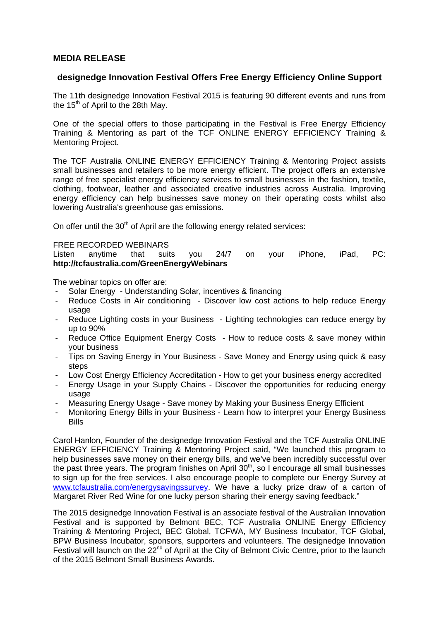## **MEDIA RELEASE**

## **designedge Innovation Festival Offers Free Energy Efficiency Online Support**

The 11th designedge Innovation Festival 2015 is featuring 90 different events and runs from the  $15<sup>th</sup>$  of April to the 28th May.

One of the special offers to those participating in the Festival is Free Energy Efficiency Training & Mentoring as part of the TCF ONLINE ENERGY EFFICIENCY Training & Mentoring Project.

The TCF Australia ONLINE ENERGY EFFICIENCY Training & Mentoring Project assists small businesses and retailers to be more energy efficient. The project offers an extensive range of free specialist energy efficiency services to small businesses in the fashion, textile, clothing, footwear, leather and associated creative industries across Australia. Improving energy efficiency can help businesses save money on their operating costs whilst also lowering Australia's greenhouse gas emissions.

On offer until the  $30<sup>th</sup>$  of April are the following energy related services:

#### FREE RECORDED WEBINARS

Listen anytime that suits you 24/7 on your iPhone, iPad, PC: **http://tcfaustralia.com/GreenEnergyWebinars**

The webinar topics on offer are:

- Solar Energy Understanding Solar, incentives & financing
- Reduce Costs in Air conditioning Discover low cost actions to help reduce Energy usage
- Reduce Lighting costs in your Business Lighting technologies can reduce energy by up to 90%
- Reduce Office Equipment Energy Costs How to reduce costs & save money within your business
- Tips on Saving Energy in Your Business Save Money and Energy using quick & easy steps
- Low Cost Energy Efficiency Accreditation How to get your business energy accredited
- Energy Usage in your Supply Chains Discover the opportunities for reducing energy usage
- Measuring Energy Usage Save money by Making your Business Energy Efficient
- Monitoring Energy Bills in your Business Learn how to interpret your Energy Business **Bills**

Carol Hanlon, Founder of the designedge Innovation Festival and the TCF Australia ONLINE ENERGY EFFICIENCY Training & Mentoring Project said, "We launched this program to help businesses save money on their energy bills, and we've been incredibly successful over the past three years. The program finishes on April  $30<sup>th</sup>$ , so I encourage all small businesses to sign up for the free services. I also encourage people to complete our Energy Survey at www.tcfaustralia.com/energysavingssurvey. We have a lucky prize draw of a carton of Margaret River Red Wine for one lucky person sharing their energy saving feedback."

The 2015 designedge Innovation Festival is an associate festival of the Australian Innovation Festival and is supported by Belmont BEC, TCF Australia ONLINE Energy Efficiency Training & Mentoring Project, BEC Global, TCFWA, MY Business Incubator, TCF Global, BPW Business Incubator, sponsors, supporters and volunteers. The designedge Innovation Festival will launch on the 22<sup>nd</sup> of April at the City of Belmont Civic Centre, prior to the launch of the 2015 Belmont Small Business Awards.